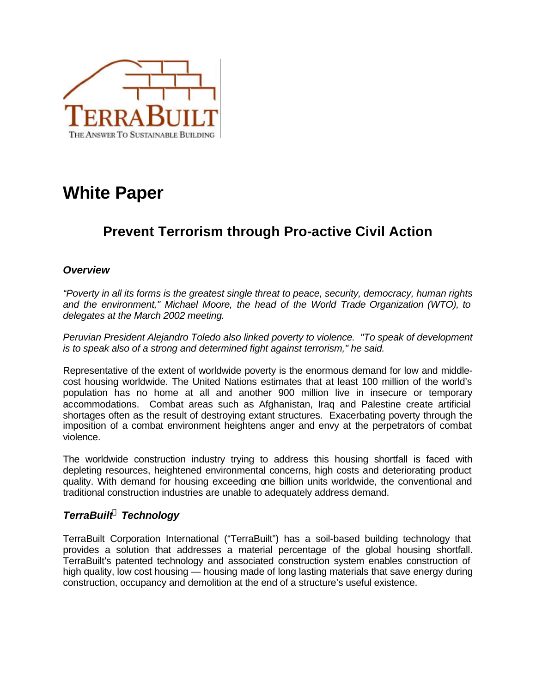

# **White Paper**

# **Prevent Terrorism through Pro-active Civil Action**

### *Overview*

*"Poverty in all its forms is the greatest single threat to peace, security, democracy, human rights and the environment," Michael Moore, the head of the World Trade Organization (WTO), to delegates at the March 2002 meeting.*

*Peruvian President Alejandro Toledo also linked poverty to violence. "To speak of development is to speak also of a strong and determined fight against terrorism," he said.*

Representative of the extent of worldwide poverty is the enormous demand for low and middlecost housing worldwide. The United Nations estimates that at least 100 million of the world's population has no home at all and another 900 million live in insecure or temporary accommodations. Combat areas such as Afghanistan, Iraq and Palestine create artificial shortages often as the result of destroying extant structures. Exacerbating poverty through the imposition of a combat environment heightens anger and envy at the perpetrators of combat violence.

The worldwide construction industry trying to address this housing shortfall is faced with depleting resources, heightened environmental concerns, high costs and deteriorating product quality. With demand for housing exceeding one billion units worldwide, the conventional and traditional construction industries are unable to adequately address demand.

## *TerraBuilt<sup>Ò</sup> Technology*

TerraBuilt Corporation International ("TerraBuilt") has a soil-based building technology that provides a solution that addresses a material percentage of the global housing shortfall. TerraBuilt's patented technology and associated construction system enables construction of high quality, low cost housing — housing made of long lasting materials that save energy during construction, occupancy and demolition at the end of a structure's useful existence.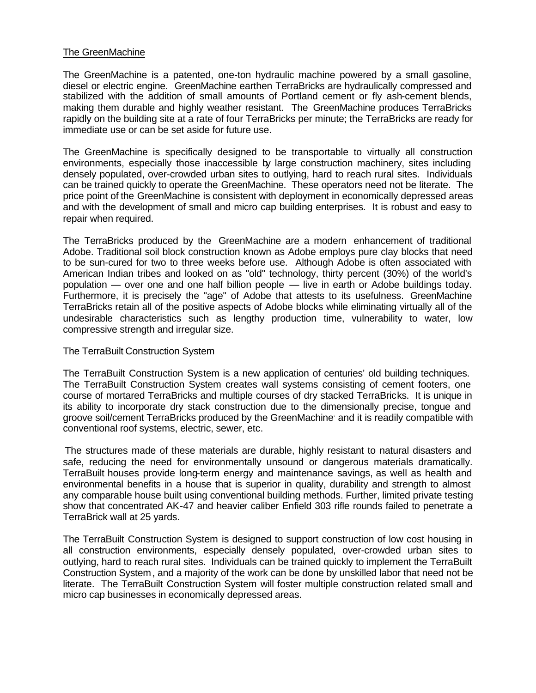#### The GreenMachine

The GreenMachine is a patented, one-ton hydraulic machine powered by a small gasoline, diesel or electric engine. GreenMachine earthen TerraBricks are hydraulically compressed and stabilized with the addition of small amounts of Portland cement or fly ash-cement blends, making them durable and highly weather resistant. The GreenMachine produces TerraBricks rapidly on the building site at a rate of four TerraBricks per minute; the TerraBricks are ready for immediate use or can be set aside for future use.

The GreenMachine is specifically designed to be transportable to virtually all construction environments, especially those inaccessible by large construction machinery, sites including densely populated, over-crowded urban sites to outlying, hard to reach rural sites. Individuals can be trained quickly to operate the GreenMachine. These operators need not be literate. The price point of the GreenMachine is consistent with deployment in economically depressed areas and with the development of small and micro cap building enterprises. It is robust and easy to repair when required.

The TerraBricks produced by the GreenMachine are a modern enhancement of traditional Adobe. Traditional soil block construction known as Adobe employs pure clay blocks that need to be sun-cured for two to three weeks before use. Although Adobe is often associated with American Indian tribes and looked on as "old" technology, thirty percent (30%) of the world's population — over one and one half billion people — live in earth or Adobe buildings today. Furthermore, it is precisely the "age" of Adobe that attests to its usefulness. GreenMachine TerraBricks retain all of the positive aspects of Adobe blocks while eliminating virtually all of the undesirable characteristics such as lengthy production time, vulnerability to water, low compressive strength and irregular size.

#### The TerraBuilt Construction System

The TerraBuilt Construction System is a new application of centuries' old building techniques. The TerraBuilt Construction System creates wall systems consisting of cement footers, one course of mortared TerraBricks and multiple courses of dry stacked TerraBricks. It is unique in its ability to incorporate dry stack construction due to the dimensionally precise, tongue and groove soil/cement TerraBricks produced by the GreenMachine and it is readily compatible with conventional roof systems, electric, sewer, etc.

The structures made of these materials are durable, highly resistant to natural disasters and safe, reducing the need for environmentally unsound or dangerous materials dramatically. TerraBuilt houses provide long-term energy and maintenance savings, as well as health and environmental benefits in a house that is superior in quality, durability and strength to almost any comparable house built using conventional building methods. Further, limited private testing show that concentrated AK-47 and heavier caliber Enfield 303 rifle rounds failed to penetrate a TerraBrick wall at 25 yards.

The TerraBuilt Construction System is designed to support construction of low cost housing in all construction environments, especially densely populated, over-crowded urban sites to outlying, hard to reach rural sites. Individuals can be trained quickly to implement the TerraBuilt Construction System, and a majority of the work can be done by unskilled labor that need not be literate. The TerraBuilt Construction System will foster multiple construction related small and micro cap businesses in economically depressed areas.